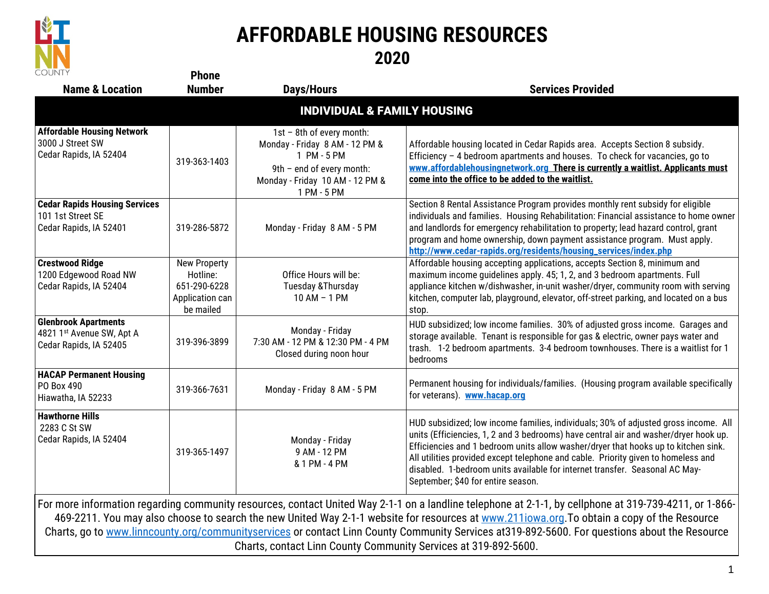

## **AFFORDABLE HOUSING RESOURCES**

**2020**

| <b>COUNTY</b>                                                                       | <b>Phone</b>                                                                    |                                                                                                                                                           |                                                                                                                                                                                                                                                                                                                                                                                                                                                                             |
|-------------------------------------------------------------------------------------|---------------------------------------------------------------------------------|-----------------------------------------------------------------------------------------------------------------------------------------------------------|-----------------------------------------------------------------------------------------------------------------------------------------------------------------------------------------------------------------------------------------------------------------------------------------------------------------------------------------------------------------------------------------------------------------------------------------------------------------------------|
| <b>Name &amp; Location</b>                                                          | <b>Number</b>                                                                   | <b>Days/Hours</b>                                                                                                                                         | <b>Services Provided</b>                                                                                                                                                                                                                                                                                                                                                                                                                                                    |
| <b>INDIVIDUAL &amp; FAMILY HOUSING</b>                                              |                                                                                 |                                                                                                                                                           |                                                                                                                                                                                                                                                                                                                                                                                                                                                                             |
| <b>Affordable Housing Network</b><br>3000 J Street SW<br>Cedar Rapids, IA 52404     | 319-363-1403                                                                    | 1st - 8th of every month:<br>Monday - Friday 8 AM - 12 PM &<br>1 PM - 5 PM<br>9th - end of every month:<br>Monday - Friday 10 AM - 12 PM &<br>1 PM - 5 PM | Affordable housing located in Cedar Rapids area. Accepts Section 8 subsidy.<br>Efficiency - 4 bedroom apartments and houses. To check for vacancies, go to<br>www.affordablehousingnetwork.org There is currently a waitlist. Applicants must<br>come into the office to be added to the waitlist.                                                                                                                                                                          |
| <b>Cedar Rapids Housing Services</b><br>101 1st Street SE<br>Cedar Rapids, IA 52401 | 319-286-5872                                                                    | Monday - Friday 8 AM - 5 PM                                                                                                                               | Section 8 Rental Assistance Program provides monthly rent subsidy for eligible<br>individuals and families. Housing Rehabilitation: Financial assistance to home owner<br>and landlords for emergency rehabilitation to property; lead hazard control, grant<br>program and home ownership, down payment assistance program. Must apply.<br>http://www.cedar-rapids.org/residents/housing_services/index.php                                                                |
| <b>Crestwood Ridge</b><br>1200 Edgewood Road NW<br>Cedar Rapids, IA 52404           | <b>New Property</b><br>Hotline:<br>651-290-6228<br>Application can<br>be mailed | Office Hours will be:<br>Tuesday & Thursday<br>10 AM - 1 PM                                                                                               | Affordable housing accepting applications, accepts Section 8, minimum and<br>maximum income guidelines apply. 45; 1, 2, and 3 bedroom apartments. Full<br>appliance kitchen w/dishwasher, in-unit washer/dryer, community room with serving<br>kitchen, computer lab, playground, elevator, off-street parking, and located on a bus<br>stop.                                                                                                                               |
| <b>Glenbrook Apartments</b><br>4821 1st Avenue SW, Apt A<br>Cedar Rapids, IA 52405  | 319-396-3899                                                                    | Monday - Friday<br>7:30 AM - 12 PM & 12:30 PM - 4 PM<br>Closed during noon hour                                                                           | HUD subsidized; low income families. 30% of adjusted gross income. Garages and<br>storage available. Tenant is responsible for gas & electric, owner pays water and<br>trash. 1-2 bedroom apartments. 3-4 bedroom townhouses. There is a waitlist for 1<br>bedrooms                                                                                                                                                                                                         |
| <b>HACAP Permanent Housing</b><br>PO Box 490<br>Hiawatha, IA 52233                  | 319-366-7631                                                                    | Monday - Friday 8 AM - 5 PM                                                                                                                               | Permanent housing for individuals/families. (Housing program available specifically<br>for veterans). www.hacap.org                                                                                                                                                                                                                                                                                                                                                         |
| <b>Hawthorne Hills</b><br>2283 C St SW<br>Cedar Rapids, IA 52404                    | 319-365-1497                                                                    | Monday - Friday<br>9 AM - 12 PM<br>& 1 PM - 4 PM                                                                                                          | HUD subsidized; low income families, individuals; 30% of adjusted gross income. All<br>units (Efficiencies, 1, 2 and 3 bedrooms) have central air and washer/dryer hook up.<br>Efficiencies and 1 bedroom units allow washer/dryer that hooks up to kitchen sink.<br>All utilities provided except telephone and cable. Priority given to homeless and<br>disabled. 1-bedroom units available for internet transfer. Seasonal AC May-<br>September; \$40 for entire season. |
|                                                                                     |                                                                                 | Charts, contact Linn County Community Services at 319-892-5600.                                                                                           | For more information regarding community resources, contact United Way 2-1-1 on a landline telephone at 2-1-1, by cellphone at 319-739-4211, or 1-866-<br>469-2211. You may also choose to search the new United Way 2-1-1 website for resources at www.211iowa.org. To obtain a copy of the Resource<br>Charts, go to www.linncounty.org/communityservices or contact Linn County Community Services at 319-892-5600. For questions about the Resource                     |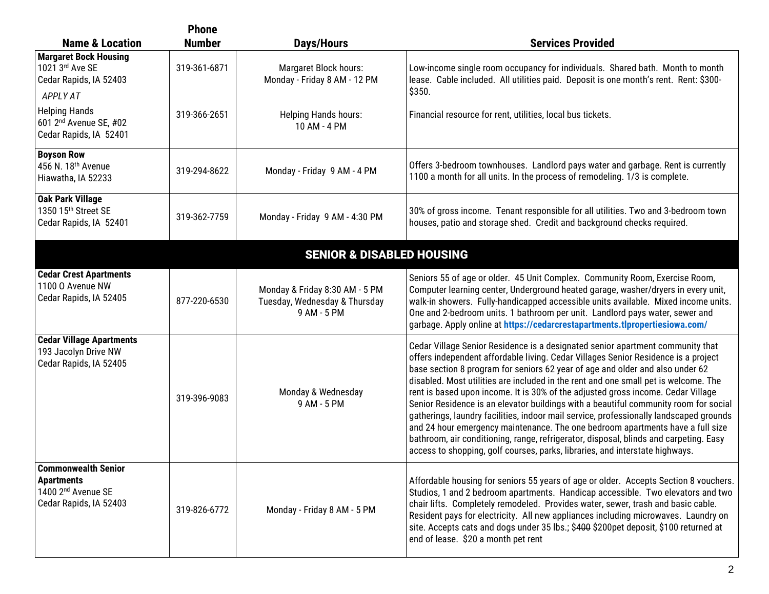|                                                                                                             | <b>Phone</b>  |                                                                                |                                                                                                                                                                                                                                                                                                                                                                                                                                                                                                                                                                                                                                                                                                                                                                                                                                                                               |
|-------------------------------------------------------------------------------------------------------------|---------------|--------------------------------------------------------------------------------|-------------------------------------------------------------------------------------------------------------------------------------------------------------------------------------------------------------------------------------------------------------------------------------------------------------------------------------------------------------------------------------------------------------------------------------------------------------------------------------------------------------------------------------------------------------------------------------------------------------------------------------------------------------------------------------------------------------------------------------------------------------------------------------------------------------------------------------------------------------------------------|
| <b>Name &amp; Location</b>                                                                                  | <b>Number</b> | <b>Days/Hours</b>                                                              | <b>Services Provided</b>                                                                                                                                                                                                                                                                                                                                                                                                                                                                                                                                                                                                                                                                                                                                                                                                                                                      |
| <b>Margaret Bock Housing</b><br>1021 3rd Ave SE<br>Cedar Rapids, IA 52403<br><b>APPLY AT</b>                | 319-361-6871  | Margaret Block hours:<br>Monday - Friday 8 AM - 12 PM                          | Low-income single room occupancy for individuals. Shared bath. Month to month<br>lease. Cable included. All utilities paid. Deposit is one month's rent. Rent: \$300-<br>\$350.                                                                                                                                                                                                                                                                                                                                                                                                                                                                                                                                                                                                                                                                                               |
| <b>Helping Hands</b><br>601 2 <sup>nd</sup> Avenue SE, #02<br>Cedar Rapids, IA 52401                        | 319-366-2651  | <b>Helping Hands hours:</b><br>10 AM - 4 PM                                    | Financial resource for rent, utilities, local bus tickets.                                                                                                                                                                                                                                                                                                                                                                                                                                                                                                                                                                                                                                                                                                                                                                                                                    |
| <b>Boyson Row</b><br>456 N. 18th Avenue<br>Hiawatha, IA 52233                                               | 319-294-8622  | Monday - Friday 9 AM - 4 PM                                                    | Offers 3-bedroom townhouses. Landlord pays water and garbage. Rent is currently<br>1100 a month for all units. In the process of remodeling. 1/3 is complete.                                                                                                                                                                                                                                                                                                                                                                                                                                                                                                                                                                                                                                                                                                                 |
| <b>Oak Park Village</b><br>1350 15th Street SE<br>Cedar Rapids, IA 52401                                    | 319-362-7759  | Monday - Friday 9 AM - 4:30 PM                                                 | 30% of gross income. Tenant responsible for all utilities. Two and 3-bedroom town<br>houses, patio and storage shed. Credit and background checks required.                                                                                                                                                                                                                                                                                                                                                                                                                                                                                                                                                                                                                                                                                                                   |
|                                                                                                             |               | <b>SENIOR &amp; DISABLED HOUSING</b>                                           |                                                                                                                                                                                                                                                                                                                                                                                                                                                                                                                                                                                                                                                                                                                                                                                                                                                                               |
| <b>Cedar Crest Apartments</b><br>1100 O Avenue NW<br>Cedar Rapids, IA 52405                                 | 877-220-6530  | Monday & Friday 8:30 AM - 5 PM<br>Tuesday, Wednesday & Thursday<br>9 AM - 5 PM | Seniors 55 of age or older. 45 Unit Complex. Community Room, Exercise Room,<br>Computer learning center, Underground heated garage, washer/dryers in every unit,<br>walk-in showers. Fully-handicapped accessible units available. Mixed income units.<br>One and 2-bedroom units. 1 bathroom per unit. Landlord pays water, sewer and<br>garbage. Apply online at https://cedarcrestapartments.tlpropertiesiowa.com/                                                                                                                                                                                                                                                                                                                                                                                                                                                         |
| <b>Cedar Village Apartments</b><br>193 Jacolyn Drive NW<br>Cedar Rapids, IA 52405                           | 319-396-9083  | Monday & Wednesday<br>9 AM - 5 PM                                              | Cedar Village Senior Residence is a designated senior apartment community that<br>offers independent affordable living. Cedar Villages Senior Residence is a project<br>base section 8 program for seniors 62 year of age and older and also under 62<br>disabled. Most utilities are included in the rent and one small pet is welcome. The<br>rent is based upon income. It is 30% of the adjusted gross income. Cedar Village<br>Senior Residence is an elevator buildings with a beautiful community room for social<br>gatherings, laundry facilities, indoor mail service, professionally landscaped grounds<br>and 24 hour emergency maintenance. The one bedroom apartments have a full size<br>bathroom, air conditioning, range, refrigerator, disposal, blinds and carpeting. Easy<br>access to shopping, golf courses, parks, libraries, and interstate highways. |
| <b>Commonwealth Senior</b><br><b>Apartments</b><br>1400 2 <sup>nd</sup> Avenue SE<br>Cedar Rapids, IA 52403 | 319-826-6772  | Monday - Friday 8 AM - 5 PM                                                    | Affordable housing for seniors 55 years of age or older. Accepts Section 8 vouchers.<br>Studios, 1 and 2 bedroom apartments. Handicap accessible. Two elevators and two<br>chair lifts. Completely remodeled. Provides water, sewer, trash and basic cable.<br>Resident pays for electricity. All new appliances including microwaves. Laundry on<br>site. Accepts cats and dogs under 35 lbs.; \$400 \$200pet deposit, \$100 returned at<br>end of lease. \$20 a month pet rent                                                                                                                                                                                                                                                                                                                                                                                              |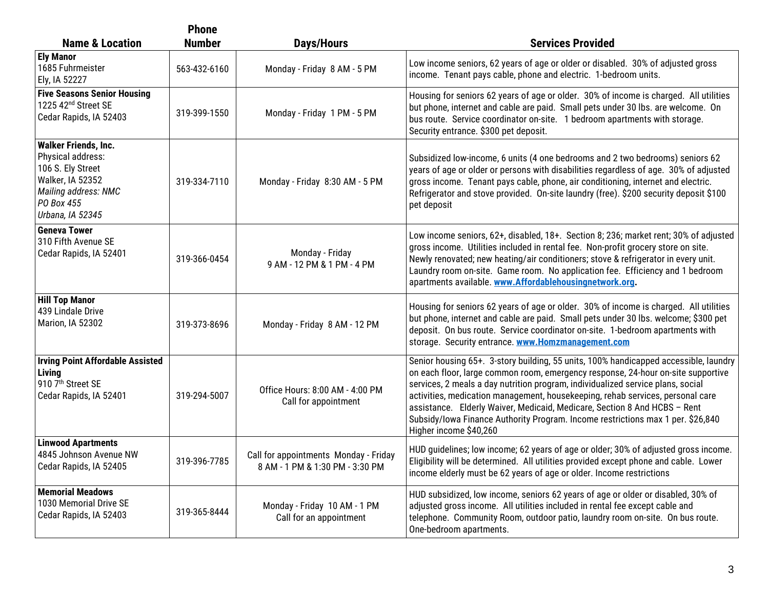|                                                                                                                                                            | <b>Phone</b>  |                                                                          |                                                                                                                                                                                                                                                                                                                                                                                                                                                                                                                                         |
|------------------------------------------------------------------------------------------------------------------------------------------------------------|---------------|--------------------------------------------------------------------------|-----------------------------------------------------------------------------------------------------------------------------------------------------------------------------------------------------------------------------------------------------------------------------------------------------------------------------------------------------------------------------------------------------------------------------------------------------------------------------------------------------------------------------------------|
| <b>Name &amp; Location</b>                                                                                                                                 | <b>Number</b> | Days/Hours                                                               | <b>Services Provided</b>                                                                                                                                                                                                                                                                                                                                                                                                                                                                                                                |
| <b>Ely Manor</b><br>1685 Fuhrmeister<br>Ely, IA 52227                                                                                                      | 563-432-6160  | Monday - Friday 8 AM - 5 PM                                              | Low income seniors, 62 years of age or older or disabled. 30% of adjusted gross<br>income. Tenant pays cable, phone and electric. 1-bedroom units.                                                                                                                                                                                                                                                                                                                                                                                      |
| <b>Five Seasons Senior Housing</b><br>1225 42 <sup>nd</sup> Street SE<br>Cedar Rapids, IA 52403                                                            | 319-399-1550  | Monday - Friday 1 PM - 5 PM                                              | Housing for seniors 62 years of age or older. 30% of income is charged. All utilities<br>but phone, internet and cable are paid. Small pets under 30 lbs. are welcome. On<br>bus route. Service coordinator on-site. 1 bedroom apartments with storage.<br>Security entrance. \$300 pet deposit.                                                                                                                                                                                                                                        |
| <b>Walker Friends, Inc.</b><br>Physical address:<br>106 S. Ely Street<br>Walker, IA 52352<br><b>Mailing address: NMC</b><br>PO Box 455<br>Urbana, IA 52345 | 319-334-7110  | Monday - Friday 8:30 AM - 5 PM                                           | Subsidized low-income, 6 units (4 one bedrooms and 2 two bedrooms) seniors 62<br>years of age or older or persons with disabilities regardless of age. 30% of adjusted<br>gross income. Tenant pays cable, phone, air conditioning, internet and electric.<br>Refrigerator and stove provided. On-site laundry (free). \$200 security deposit \$100<br>pet deposit                                                                                                                                                                      |
| <b>Geneva Tower</b><br>310 Fifth Avenue SE<br>Cedar Rapids, IA 52401                                                                                       | 319-366-0454  | Monday - Friday<br>9 AM - 12 PM & 1 PM - 4 PM                            | Low income seniors, 62+, disabled, 18+. Section 8; 236; market rent; 30% of adjusted<br>gross income. Utilities included in rental fee. Non-profit grocery store on site.<br>Newly renovated; new heating/air conditioners; stove & refrigerator in every unit.<br>Laundry room on-site. Game room. No application fee. Efficiency and 1 bedroom<br>apartments available. www.Affordablehousingnetwork.org.                                                                                                                             |
| <b>Hill Top Manor</b><br>439 Lindale Drive<br>Marion, IA 52302                                                                                             | 319-373-8696  | Monday - Friday 8 AM - 12 PM                                             | Housing for seniors 62 years of age or older. 30% of income is charged. All utilities<br>but phone, internet and cable are paid. Small pets under 30 lbs. welcome; \$300 pet<br>deposit. On bus route. Service coordinator on-site. 1-bedroom apartments with<br>storage. Security entrance. www.Homzmanagement.com                                                                                                                                                                                                                     |
| <b>Irving Point Affordable Assisted</b><br>Living<br>910 7th Street SE<br>Cedar Rapids, IA 52401                                                           | 319-294-5007  | Office Hours: 8:00 AM - 4:00 PM<br>Call for appointment                  | Senior housing 65+. 3-story building, 55 units, 100% handicapped accessible, laundry<br>on each floor, large common room, emergency response, 24-hour on-site supportive<br>services, 2 meals a day nutrition program, individualized service plans, social<br>activities, medication management, housekeeping, rehab services, personal care<br>assistance. Elderly Waiver, Medicaid, Medicare, Section 8 And HCBS - Rent<br>Subsidy/lowa Finance Authority Program. Income restrictions max 1 per. \$26,840<br>Higher income \$40,260 |
| <b>Linwood Apartments</b><br>4845 Johnson Avenue NW<br>Cedar Rapids, IA 52405                                                                              | 319-396-7785  | Call for appointments Monday - Friday<br>8 AM - 1 PM & 1:30 PM - 3:30 PM | HUD guidelines; low income; 62 years of age or older; 30% of adjusted gross income.<br>Eligibility will be determined. All utilities provided except phone and cable. Lower<br>income elderly must be 62 years of age or older. Income restrictions                                                                                                                                                                                                                                                                                     |
| <b>Memorial Meadows</b><br>1030 Memorial Drive SE<br>Cedar Rapids, IA 52403                                                                                | 319-365-8444  | Monday - Friday 10 AM - 1 PM<br>Call for an appointment                  | HUD subsidized, low income, seniors 62 years of age or older or disabled, 30% of<br>adjusted gross income. All utilities included in rental fee except cable and<br>telephone. Community Room, outdoor patio, laundry room on-site. On bus route.<br>One-bedroom apartments.                                                                                                                                                                                                                                                            |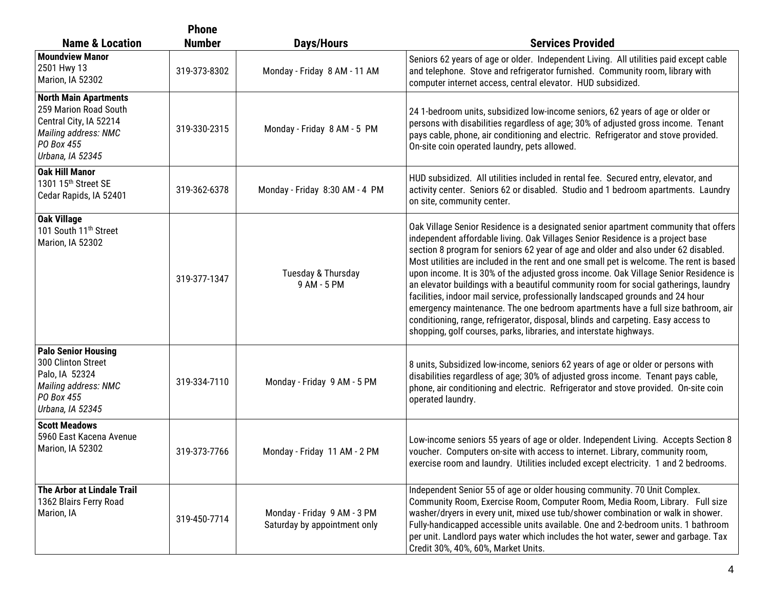|                                                                                                                                           | <b>Phone</b>  |                                                             |                                                                                                                                                                                                                                                                                                                                                                                                                                                                                                                                                                                                                                                                                                                                                                                                                                                                         |
|-------------------------------------------------------------------------------------------------------------------------------------------|---------------|-------------------------------------------------------------|-------------------------------------------------------------------------------------------------------------------------------------------------------------------------------------------------------------------------------------------------------------------------------------------------------------------------------------------------------------------------------------------------------------------------------------------------------------------------------------------------------------------------------------------------------------------------------------------------------------------------------------------------------------------------------------------------------------------------------------------------------------------------------------------------------------------------------------------------------------------------|
| <b>Name &amp; Location</b>                                                                                                                | <b>Number</b> | <b>Days/Hours</b>                                           | <b>Services Provided</b>                                                                                                                                                                                                                                                                                                                                                                                                                                                                                                                                                                                                                                                                                                                                                                                                                                                |
| <b>Moundview Manor</b><br>2501 Hwy 13<br>Marion, IA 52302                                                                                 | 319-373-8302  | Monday - Friday 8 AM - 11 AM                                | Seniors 62 years of age or older. Independent Living. All utilities paid except cable<br>and telephone. Stove and refrigerator furnished. Community room, library with<br>computer internet access, central elevator. HUD subsidized.                                                                                                                                                                                                                                                                                                                                                                                                                                                                                                                                                                                                                                   |
| <b>North Main Apartments</b><br>259 Marion Road South<br>Central City, IA 52214<br>Mailing address: NMC<br>PO Box 455<br>Urbana, IA 52345 | 319-330-2315  | Monday - Friday 8 AM - 5 PM                                 | 24 1-bedroom units, subsidized low-income seniors, 62 years of age or older or<br>persons with disabilities regardless of age; 30% of adjusted gross income. Tenant<br>pays cable, phone, air conditioning and electric. Refrigerator and stove provided.<br>On-site coin operated laundry, pets allowed.                                                                                                                                                                                                                                                                                                                                                                                                                                                                                                                                                               |
| <b>Oak Hill Manor</b><br>1301 15 <sup>th</sup> Street SE<br>Cedar Rapids, IA 52401                                                        | 319-362-6378  | Monday - Friday 8:30 AM - 4 PM                              | HUD subsidized. All utilities included in rental fee. Secured entry, elevator, and<br>activity center. Seniors 62 or disabled. Studio and 1 bedroom apartments. Laundry<br>on site, community center.                                                                                                                                                                                                                                                                                                                                                                                                                                                                                                                                                                                                                                                                   |
| <b>Oak Village</b><br>101 South 11 <sup>th</sup> Street<br>Marion, IA 52302                                                               | 319-377-1347  | Tuesday & Thursday<br>9 AM - 5 PM                           | Oak Village Senior Residence is a designated senior apartment community that offers<br>independent affordable living. Oak Villages Senior Residence is a project base<br>section 8 program for seniors 62 year of age and older and also under 62 disabled.<br>Most utilities are included in the rent and one small pet is welcome. The rent is based<br>upon income. It is 30% of the adjusted gross income. Oak Village Senior Residence is<br>an elevator buildings with a beautiful community room for social gatherings, laundry<br>facilities, indoor mail service, professionally landscaped grounds and 24 hour<br>emergency maintenance. The one bedroom apartments have a full size bathroom, air<br>conditioning, range, refrigerator, disposal, blinds and carpeting. Easy access to<br>shopping, golf courses, parks, libraries, and interstate highways. |
| <b>Palo Senior Housing</b><br>300 Clinton Street<br>Palo, IA 52324<br>Mailing address: NMC<br>PO Box 455<br>Urbana, IA 52345              | 319-334-7110  | Monday - Friday 9 AM - 5 PM                                 | 8 units, Subsidized low-income, seniors 62 years of age or older or persons with<br>disabilities regardless of age; 30% of adjusted gross income. Tenant pays cable,<br>phone, air conditioning and electric. Refrigerator and stove provided. On-site coin<br>operated laundry.                                                                                                                                                                                                                                                                                                                                                                                                                                                                                                                                                                                        |
| <b>Scott Meadows</b><br>5960 East Kacena Avenue<br>Marion, IA 52302                                                                       | 319-373-7766  | Monday - Friday 11 AM - 2 PM                                | Low-income seniors 55 years of age or older. Independent Living. Accepts Section 8<br>voucher. Computers on-site with access to internet. Library, community room,<br>exercise room and laundry. Utilities included except electricity. 1 and 2 bedrooms.                                                                                                                                                                                                                                                                                                                                                                                                                                                                                                                                                                                                               |
| The Arbor at Lindale Trail<br>1362 Blairs Ferry Road<br>Marion, IA                                                                        | 319-450-7714  | Monday - Friday 9 AM - 3 PM<br>Saturday by appointment only | Independent Senior 55 of age or older housing community. 70 Unit Complex.<br>Community Room, Exercise Room, Computer Room, Media Room, Library. Full size<br>washer/dryers in every unit, mixed use tub/shower combination or walk in shower.<br>Fully-handicapped accessible units available. One and 2-bedroom units. 1 bathroom<br>per unit. Landlord pays water which includes the hot water, sewer and garbage. Tax<br>Credit 30%, 40%, 60%, Market Units.                                                                                                                                                                                                                                                                                                                                                                                                         |